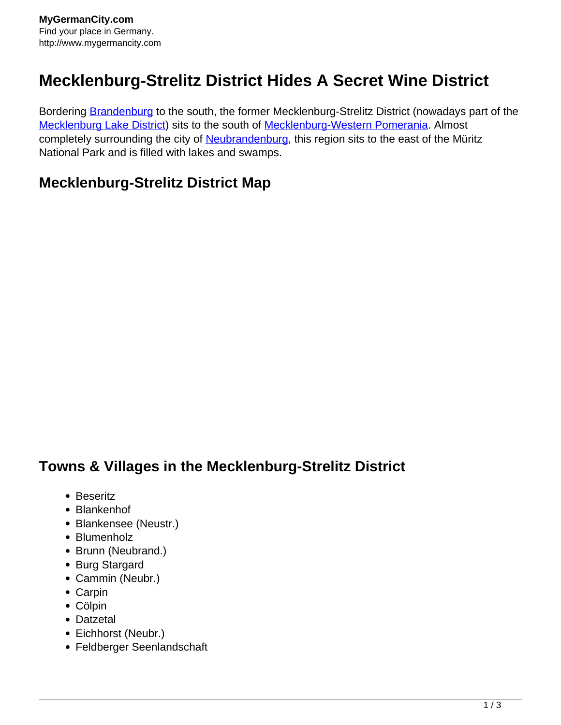## **Mecklenburg-Strelitz District Hides A Secret Wine District**

Bordering **[Brandenburg](http://www.mygermancity.com/brandenburg)** to the south, the former Mecklenburg-Strelitz District (nowadays part of the [Mecklenburg Lake District\)](http://www.mygermancity.com/mecklenburg-lake-district) sits to the south of [Mecklenburg-Western Pomerania](http://www.mygermancity.com/mecklenburg-western-pomerania). Almost completely surrounding the city of [Neubrandenburg,](http://www.mygermancity.com/neubrandenburg) this region sits to the east of the Müritz National Park and is filled with lakes and swamps.

## **Mecklenburg-Strelitz District Map**

## **Towns & Villages in the Mecklenburg-Strelitz District**

- Beseritz
- Blankenhof
- Blankensee (Neustr.)
- Blumenholz
- Brunn (Neubrand.)
- Burg Stargard
- Cammin (Neubr.)
- Carpin
- Cölpin
- Datzetal
- Eichhorst (Neubr.)
- Feldberger Seenlandschaft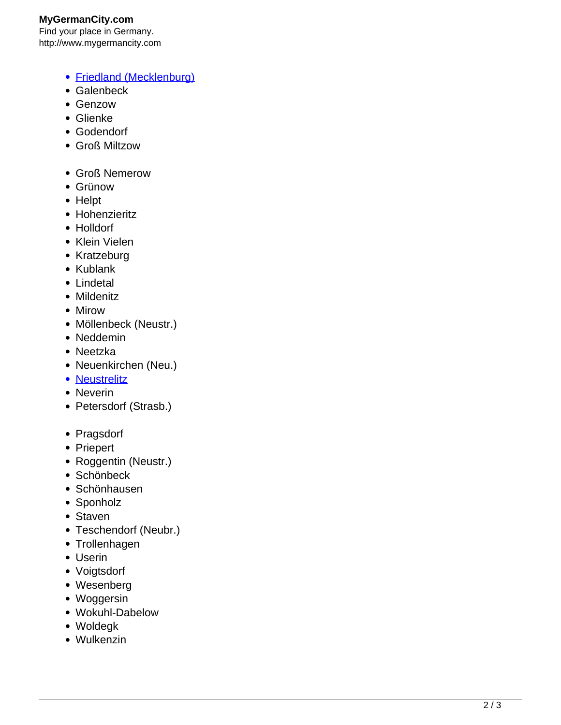- [Friedland \(Mecklenburg\)](http://www.mygermancity.com/friedland-mecklenburg)
- Galenbeck
- Genzow
- Glienke
- Godendorf
- Groß Miltzow
- Groß Nemerow
- Grünow
- Helpt
- Hohenzieritz
- Holldorf
- Klein Vielen
- Kratzeburg
- Kublank
- Lindetal
- Mildenitz
- Mirow
- Möllenbeck (Neustr.)
- Neddemin
- Neetzka
- Neuenkirchen (Neu.)
- [Neustrelitz](http://www.mygermancity.com/neustrelitz)
- Neverin
- Petersdorf (Strasb.)
- Pragsdorf
- Priepert
- Roggentin (Neustr.)
- Schönbeck
- Schönhausen
- Sponholz
- Staven
- Teschendorf (Neubr.)
- Trollenhagen
- Userin
- Voigtsdorf
- Wesenberg
- Woggersin
- Wokuhl-Dabelow
- Woldegk
- Wulkenzin